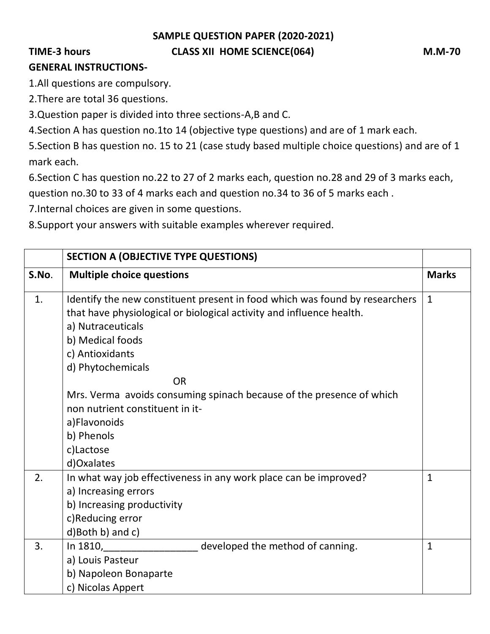**SAMPLE QUESTION PAPER (2020-2021)**

## TIME-3 hours **CLASS XII HOME SCIENCE(064)** M.M-70

## **GENERAL INSTRUCTIONS-**

1.All questions are compulsory.

2.There are total 36 questions.

3.Question paper is divided into three sections-A,B and C.

4.Section A has question no.1to 14 (objective type questions) and are of 1 mark each.

5.Section B has question no. 15 to 21 (case study based multiple choice questions) and are of 1 mark each.

6.Section C has question no.22 to 27 of 2 marks each, question no.28 and 29 of 3 marks each,

question no.30 to 33 of 4 marks each and question no.34 to 36 of 5 marks each .

7.Internal choices are given in some questions.

8.Support your answers with suitable examples wherever required.

|       | <b>SECTION A (OBJECTIVE TYPE QUESTIONS)</b>                                                                                                                                                                                                                                                                                                                                                                           |              |
|-------|-----------------------------------------------------------------------------------------------------------------------------------------------------------------------------------------------------------------------------------------------------------------------------------------------------------------------------------------------------------------------------------------------------------------------|--------------|
| S.No. | <b>Multiple choice questions</b>                                                                                                                                                                                                                                                                                                                                                                                      | <b>Marks</b> |
| 1.    | Identify the new constituent present in food which was found by researchers<br>that have physiological or biological activity and influence health.<br>a) Nutraceuticals<br>b) Medical foods<br>c) Antioxidants<br>d) Phytochemicals<br><b>OR</b><br>Mrs. Verma avoids consuming spinach because of the presence of which<br>non nutrient constituent in it-<br>a)Flavonoids<br>b) Phenols<br>c)Lactose<br>d)Oxalates | $\mathbf{1}$ |
| 2.    | In what way job effectiveness in any work place can be improved?<br>a) Increasing errors<br>b) Increasing productivity<br>c)Reducing error<br>d)Both b) and c)                                                                                                                                                                                                                                                        | $\mathbf{1}$ |
| 3.    | developed the method of canning.<br>In 1810,<br>a) Louis Pasteur<br>b) Napoleon Bonaparte<br>c) Nicolas Appert                                                                                                                                                                                                                                                                                                        | $\mathbf{1}$ |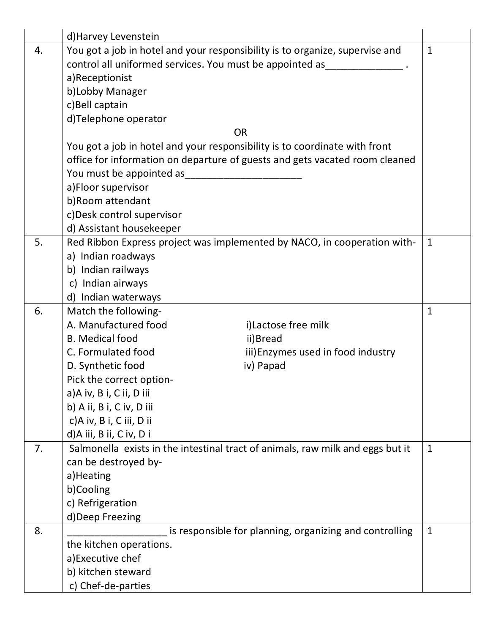|    | d) Harvey Levenstein                                                           |                                                         |              |
|----|--------------------------------------------------------------------------------|---------------------------------------------------------|--------------|
| 4. | You got a job in hotel and your responsibility is to organize, supervise and   |                                                         |              |
|    | control all uniformed services. You must be appointed as                       |                                                         |              |
|    | a)Receptionist                                                                 |                                                         |              |
|    | b)Lobby Manager                                                                |                                                         |              |
|    | c)Bell captain                                                                 |                                                         |              |
|    | d)Telephone operator                                                           |                                                         |              |
|    | <b>OR</b>                                                                      |                                                         |              |
|    | You got a job in hotel and your responsibility is to coordinate with front     |                                                         |              |
|    | office for information on departure of guests and gets vacated room cleaned    |                                                         |              |
|    | You must be appointed as                                                       |                                                         |              |
|    | a)Floor supervisor                                                             |                                                         |              |
|    | b)Room attendant                                                               |                                                         |              |
|    | c)Desk control supervisor                                                      |                                                         |              |
|    | d) Assistant housekeeper                                                       |                                                         |              |
| 5. | Red Ribbon Express project was implemented by NACO, in cooperation with-       |                                                         | $\mathbf{1}$ |
|    | a) Indian roadways                                                             |                                                         |              |
|    | b) Indian railways                                                             |                                                         |              |
|    | c) Indian airways                                                              |                                                         |              |
|    | d) Indian waterways                                                            |                                                         |              |
| 6. | Match the following-                                                           |                                                         | $\mathbf 1$  |
|    | A. Manufactured food                                                           | i)Lactose free milk                                     |              |
|    | <b>B.</b> Medical food<br>ii)Bread                                             |                                                         |              |
|    | C. Formulated food                                                             | iii) Enzymes used in food industry                      |              |
|    | D. Synthetic food<br>iv) Papad                                                 |                                                         |              |
|    | Pick the correct option-                                                       |                                                         |              |
|    | a)A iv, B i, C ii, D iii                                                       |                                                         |              |
|    | b) A ii, B i, C iv, D iii                                                      |                                                         |              |
|    | c)A iv, B i, C iii, D ii                                                       |                                                         |              |
|    | d)A iii, B ii, C iv, D i                                                       |                                                         |              |
| 7. | Salmonella exists in the intestinal tract of animals, raw milk and eggs but it |                                                         | $\mathbf{1}$ |
|    | can be destroyed by-                                                           |                                                         |              |
|    | a)Heating                                                                      |                                                         |              |
|    | b)Cooling                                                                      |                                                         |              |
|    | c) Refrigeration                                                               |                                                         |              |
|    | d)Deep Freezing                                                                |                                                         |              |
| 8. |                                                                                | is responsible for planning, organizing and controlling | 1            |
|    | the kitchen operations.                                                        |                                                         |              |
|    | a)Executive chef                                                               |                                                         |              |
|    | b) kitchen steward                                                             |                                                         |              |
|    | c) Chef-de-parties                                                             |                                                         |              |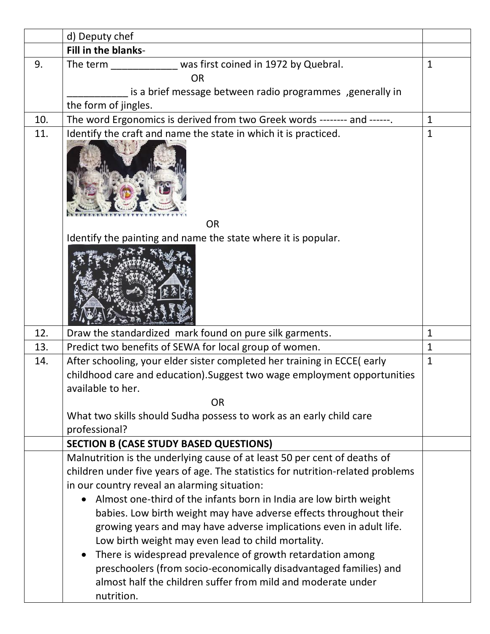|     | d) Deputy chef                                                                                                                    |              |
|-----|-----------------------------------------------------------------------------------------------------------------------------------|--------------|
|     | Fill in the blanks-                                                                                                               |              |
| 9.  | The term ______________ was first coined in 1972 by Quebral.                                                                      | $\mathbf{1}$ |
|     | <b>OR</b>                                                                                                                         |              |
|     | is a brief message between radio programmes , generally in                                                                        |              |
|     | the form of jingles.                                                                                                              |              |
| 10. | The word Ergonomics is derived from two Greek words -------- and ------.                                                          | $\mathbf{1}$ |
| 11. | Identify the craft and name the state in which it is practiced.<br><b>OR</b>                                                      | $\mathbf{1}$ |
|     | Identify the painting and name the state where it is popular.                                                                     |              |
|     |                                                                                                                                   |              |
| 12. | Draw the standardized mark found on pure silk garments.                                                                           | $\mathbf{1}$ |
| 13. | Predict two benefits of SEWA for local group of women.                                                                            | $\mathbf{1}$ |
| 14. | After schooling, your elder sister completed her training in ECCE(early                                                           | $\mathbf{1}$ |
|     | childhood care and education). Suggest two wage employment opportunities                                                          |              |
|     | available to her.                                                                                                                 |              |
|     | <b>OR</b>                                                                                                                         |              |
|     | What two skills should Sudha possess to work as an early child care                                                               |              |
|     | professional?                                                                                                                     |              |
|     | <b>SECTION B (CASE STUDY BASED QUESTIONS)</b>                                                                                     |              |
|     | Malnutrition is the underlying cause of at least 50 per cent of deaths of                                                         |              |
|     | children under five years of age. The statistics for nutrition-related problems                                                   |              |
|     | in our country reveal an alarming situation:                                                                                      |              |
|     | Almost one-third of the infants born in India are low birth weight                                                                |              |
|     | babies. Low birth weight may have adverse effects throughout their                                                                |              |
|     | growing years and may have adverse implications even in adult life.                                                               |              |
|     | Low birth weight may even lead to child mortality.                                                                                |              |
|     | There is widespread prevalence of growth retardation among                                                                        |              |
|     | preschoolers (from socio-economically disadvantaged families) and<br>almost half the children suffer from mild and moderate under |              |
|     | nutrition.                                                                                                                        |              |
|     |                                                                                                                                   |              |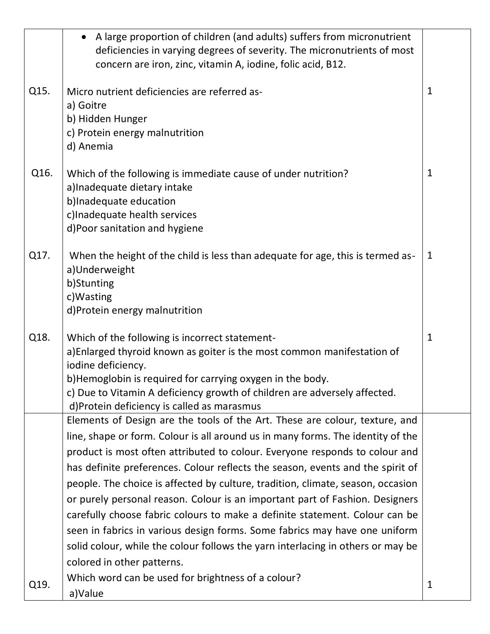|      | A large proportion of children (and adults) suffers from micronutrient          |              |
|------|---------------------------------------------------------------------------------|--------------|
|      | deficiencies in varying degrees of severity. The micronutrients of most         |              |
|      | concern are iron, zinc, vitamin A, iodine, folic acid, B12.                     |              |
|      |                                                                                 |              |
| Q15. | Micro nutrient deficiencies are referred as-                                    | $\mathbf{1}$ |
|      | a) Goitre                                                                       |              |
|      | b) Hidden Hunger<br>c) Protein energy malnutrition                              |              |
|      | d) Anemia                                                                       |              |
|      |                                                                                 |              |
| Q16. | Which of the following is immediate cause of under nutrition?                   | 1            |
|      | a) Inadequate dietary intake                                                    |              |
|      | b)Inadequate education                                                          |              |
|      | c)Inadequate health services                                                    |              |
|      | d)Poor sanitation and hygiene                                                   |              |
|      |                                                                                 |              |
| Q17. | When the height of the child is less than adequate for age, this is termed as-  | $\mathbf 1$  |
|      | a)Underweight                                                                   |              |
|      | b)Stunting<br>c) Wasting                                                        |              |
|      | d)Protein energy malnutrition                                                   |              |
|      |                                                                                 |              |
| Q18. | Which of the following is incorrect statement-                                  | $\mathbf{1}$ |
|      | a)Enlarged thyroid known as goiter is the most common manifestation of          |              |
|      | iodine deficiency.                                                              |              |
|      | b)Hemoglobin is required for carrying oxygen in the body.                       |              |
|      | c) Due to Vitamin A deficiency growth of children are adversely affected.       |              |
|      | d)Protein deficiency is called as marasmus                                      |              |
|      | Elements of Design are the tools of the Art. These are colour, texture, and     |              |
|      | line, shape or form. Colour is all around us in many forms. The identity of the |              |
|      | product is most often attributed to colour. Everyone responds to colour and     |              |
|      | has definite preferences. Colour reflects the season, events and the spirit of  |              |
|      | people. The choice is affected by culture, tradition, climate, season, occasion |              |
|      | or purely personal reason. Colour is an important part of Fashion. Designers    |              |
|      | carefully choose fabric colours to make a definite statement. Colour can be     |              |
|      | seen in fabrics in various design forms. Some fabrics may have one uniform      |              |
|      | solid colour, while the colour follows the yarn interlacing in others or may be |              |
|      | colored in other patterns.                                                      |              |
|      | Which word can be used for brightness of a colour?                              |              |
| Q19. | a)Value                                                                         | $\mathbf 1$  |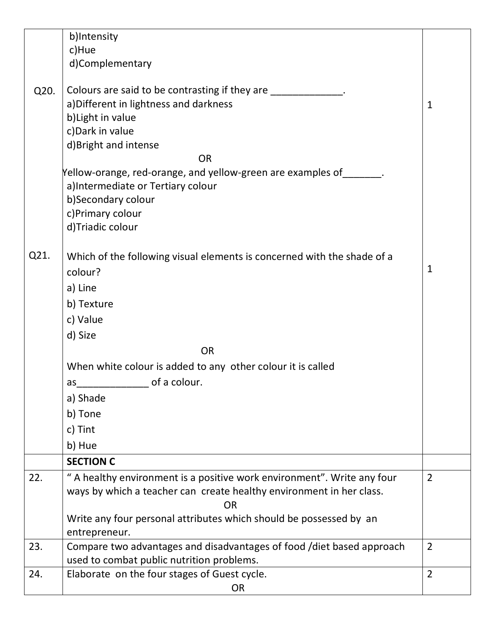|      | b)Intensity                                                             |                |
|------|-------------------------------------------------------------------------|----------------|
|      | c)Hue                                                                   |                |
|      | d)Complementary                                                         |                |
|      |                                                                         |                |
| Q20. | Colours are said to be contrasting if they are _____________            |                |
|      | a) Different in lightness and darkness                                  | $\mathbf{1}$   |
|      | b) Light in value                                                       |                |
|      | c) Dark in value                                                        |                |
|      | d)Bright and intense                                                    |                |
|      | <b>OR</b>                                                               |                |
|      | Yellow-orange, red-orange, and yellow-green are examples of             |                |
|      | a) Intermediate or Tertiary colour                                      |                |
|      | b)Secondary colour                                                      |                |
|      | c)Primary colour                                                        |                |
|      | d)Triadic colour                                                        |                |
| Q21. | Which of the following visual elements is concerned with the shade of a |                |
|      | colour?                                                                 | $\mathbf{1}$   |
|      |                                                                         |                |
|      | a) Line                                                                 |                |
|      | b) Texture                                                              |                |
|      | c) Value                                                                |                |
|      | d) Size                                                                 |                |
|      | <b>OR</b>                                                               |                |
|      | When white colour is added to any other colour it is called             |                |
|      | of a colour.<br>as                                                      |                |
|      | a) Shade                                                                |                |
|      | b) Tone                                                                 |                |
|      | c) Tint                                                                 |                |
|      | b) Hue                                                                  |                |
|      | <b>SECTION C</b>                                                        |                |
| 22.  | " A healthy environment is a positive work environment". Write any four | $\overline{2}$ |
|      | ways by which a teacher can create healthy environment in her class.    |                |
|      | <b>OR</b>                                                               |                |
|      | Write any four personal attributes which should be possessed by an      |                |
|      | entrepreneur.                                                           |                |
| 23.  | Compare two advantages and disadvantages of food /diet based approach   | $\overline{2}$ |
|      | used to combat public nutrition problems.                               |                |
| 24.  | Elaborate on the four stages of Guest cycle.                            | $\overline{2}$ |
|      | <b>OR</b>                                                               |                |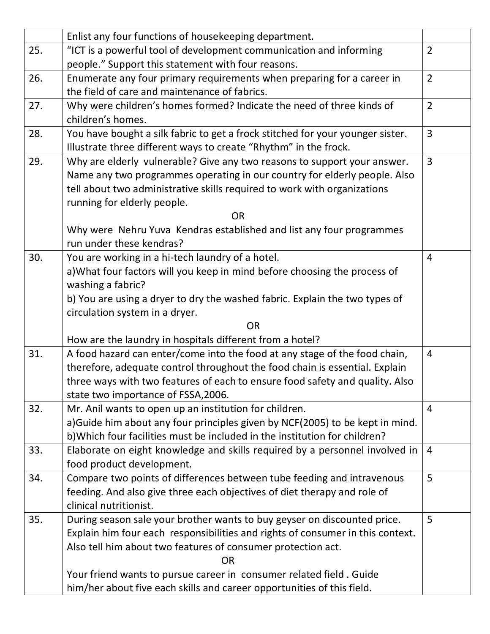|     | Enlist any four functions of housekeeping department.                          |                |
|-----|--------------------------------------------------------------------------------|----------------|
| 25. | "ICT is a powerful tool of development communication and informing             | $\overline{2}$ |
|     | people." Support this statement with four reasons.                             |                |
| 26. | Enumerate any four primary requirements when preparing for a career in         | $\overline{2}$ |
|     | the field of care and maintenance of fabrics.                                  |                |
| 27. | Why were children's homes formed? Indicate the need of three kinds of          | $\overline{2}$ |
|     | children's homes.                                                              |                |
| 28. | You have bought a silk fabric to get a frock stitched for your younger sister. | $\overline{3}$ |
|     | Illustrate three different ways to create "Rhythm" in the frock.               |                |
| 29. | Why are elderly vulnerable? Give any two reasons to support your answer.       | $\overline{3}$ |
|     | Name any two programmes operating in our country for elderly people. Also      |                |
|     | tell about two administrative skills required to work with organizations       |                |
|     | running for elderly people.                                                    |                |
|     | <b>OR</b>                                                                      |                |
|     | Why were Nehru Yuva Kendras established and list any four programmes           |                |
|     | run under these kendras?                                                       |                |
| 30. | You are working in a hi-tech laundry of a hotel.                               | 4              |
|     | a) What four factors will you keep in mind before choosing the process of      |                |
|     | washing a fabric?                                                              |                |
|     | b) You are using a dryer to dry the washed fabric. Explain the two types of    |                |
|     | circulation system in a dryer.                                                 |                |
|     | <b>OR</b>                                                                      |                |
|     | How are the laundry in hospitals different from a hotel?                       |                |
| 31. | A food hazard can enter/come into the food at any stage of the food chain,     | $\overline{4}$ |
|     | therefore, adequate control throughout the food chain is essential. Explain    |                |
|     | three ways with two features of each to ensure food safety and quality. Also   |                |
|     | state two importance of FSSA, 2006.                                            |                |
| 32. | Mr. Anil wants to open up an institution for children.                         | $\overline{4}$ |
|     | a) Guide him about any four principles given by NCF(2005) to be kept in mind.  |                |
|     | b) Which four facilities must be included in the institution for children?     |                |
| 33. | Elaborate on eight knowledge and skills required by a personnel involved in    | $\overline{4}$ |
|     | food product development.                                                      |                |
| 34. | Compare two points of differences between tube feeding and intravenous         | 5              |
|     | feeding. And also give three each objectives of diet therapy and role of       |                |
|     | clinical nutritionist.                                                         |                |
| 35. | During season sale your brother wants to buy geyser on discounted price.       | 5              |
|     | Explain him four each responsibilities and rights of consumer in this context. |                |
|     | Also tell him about two features of consumer protection act.                   |                |
|     | <b>OR</b>                                                                      |                |
|     | Your friend wants to pursue career in consumer related field. Guide            |                |
|     | him/her about five each skills and career opportunities of this field.         |                |